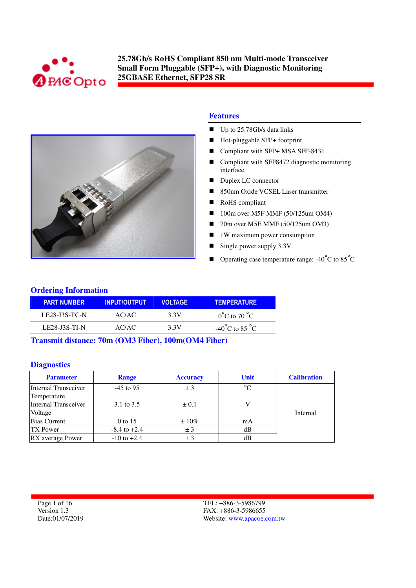



### **Features**

- $\blacksquare$  Up to 25.78Gb/s data links
- Hot-pluggable SFP+ footprint
- Compliant with SFP+ MSA SFF-8431
- Compliant with SFF8472 diagnostic monitoring interface
- Duplex LC connector
- 850nm Oxide VCSEL Laser transmitter
- RoHS compliant
- 100m over M5F MMF (50/125um OM4)
- 70m over M5E MMF (50/125um OM3)
- $\blacksquare$  1W maximum power consumption
- Single power supply  $3.3V$
- **Operating case temperature range:**  $-40^{\circ}$ C to  $85^{\circ}$ C

### **Ordering Information**

| <b>PART NUMBER</b>   | <b>INPUT/OUTPUT</b> | <b>VOLTAGE</b> | <b>TEMPERATURE</b>                 |
|----------------------|---------------------|----------------|------------------------------------|
| <b>LE28-J3S-TC-N</b> | AC/AC               | 3.3V           | $0^{\circ}$ C to 70 $^{\circ}$ C   |
| <b>LE28-J3S-TI-N</b> | AC/AC               | 3.3V           | $-40^{\circ}$ C to 85 $^{\circ}$ C |

**Transmit distance: 70m (OM3 Fiber), 100m(OM4 Fiber)**

#### **Diagnostics**

| <b>Parameter</b>     | <b>Range</b>     | <b>Accuracy</b> | <b>Unit</b> | <b>Calibration</b> |
|----------------------|------------------|-----------------|-------------|--------------------|
| Internal Transceiver | $-45$ to 95      | ± 3             | $^{\circ}C$ |                    |
| Temperature          |                  |                 |             |                    |
| Internal Transceiver | 3.1 to 3.5       | $\pm 0.1$       |             |                    |
| Voltage              |                  |                 |             | Internal           |
| <b>Bias Current</b>  | 0 to 15          | $\pm 10\%$      | mA          |                    |
| TX Power             | $-8.4$ to $+2.4$ | ± 3             | dВ          |                    |
| RX average Power     | $-10$ to $+2.4$  | $+3$            | dВ          |                    |

Page 1 of 16 Version 1.3 Date:01/07/2019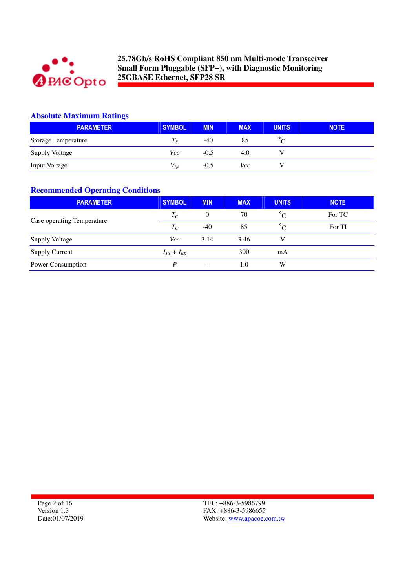

## **Absolute Maximum Ratings**

| <b>PARAMETER</b>           | <b>SYMBOL</b> | <b>MIN</b> | <b>MAX</b> | <b>UNITS</b> | <b>NOTE</b> |
|----------------------------|---------------|------------|------------|--------------|-------------|
| <b>Storage Temperature</b> | 1 c           | -40        | 85         |              |             |
| <b>Supply Voltage</b>      | Vcc           | $-0.5$     | 4.0        |              |             |
| <b>Input Voltage</b>       | $V_{IN}$      | $-0.5$     | Vcc        |              |             |

## **Recommended Operating Conditions**

| <b>PARAMETER</b>           | <b>SYMBOL</b>     | <b>MIN</b> | <b>MAX</b> | <b>UNITS</b> | <b>NOTE</b> |
|----------------------------|-------------------|------------|------------|--------------|-------------|
|                            | $T_C$             | $\theta$   | 70         | $^{\circ}C$  | For TC      |
| Case operating Temperature | $T_C$             | $-40$      | 85         | $^{\circ}C$  | For TI      |
| <b>Supply Voltage</b>      | Vcc               | 3.14       | 3.46       |              |             |
| <b>Supply Current</b>      | $I_{TX} + I_{RX}$ |            | 300        | mA           |             |
| Power Consumption          | D                 | $- - -$    | 1.0        | W            |             |

Page 2 of 16 Version 1.3 Date:01/07/2019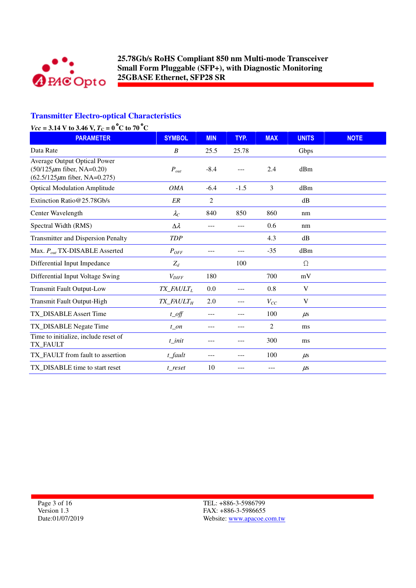

# **Transmitter Electro-optical Characteristics**

| $Vcc = 3.14$ V to 3.46 V, $T_C = 0$ °C to 70 °C                                                         |                                      |                |        |                |              |             |  |
|---------------------------------------------------------------------------------------------------------|--------------------------------------|----------------|--------|----------------|--------------|-------------|--|
| <b>PARAMETER</b>                                                                                        | <b>SYMBOL</b>                        | <b>MIN</b>     | TYP.   | <b>MAX</b>     | <b>UNITS</b> | <b>NOTE</b> |  |
| Data Rate                                                                                               | B                                    | 25.5           | 25.78  |                | Gbps         |             |  |
| Average Output Optical Power<br>$(50/125 \mu m)$ fiber, NA=0.20)<br>$(62.5/125 \mu m)$ fiber, NA=0.275) | $P_{out}$                            | $-8.4$         |        | 2.4            | dBm          |             |  |
| <b>Optical Modulation Amplitude</b>                                                                     | <b>OMA</b>                           | $-6.4$         | $-1.5$ | $\overline{3}$ | dBm          |             |  |
| Extinction Ratio@25.78Gb/s                                                                              | ER                                   | $\overline{c}$ |        |                | dB           |             |  |
| Center Wavelength                                                                                       | $\lambda_C$                          | 840            | 850    | 860            | nm           |             |  |
| Spectral Width (RMS)                                                                                    | $\Delta \lambda$                     | ---            |        | 0.6            | nm           |             |  |
| <b>Transmitter and Dispersion Penalty</b>                                                               | <b>TDP</b>                           |                |        | 4.3            | dB           |             |  |
| Max. $P_{out}$ TX-DISABLE Asserted                                                                      | $P_{OFF}$                            | ---            | ---    | $-35$          | dBm          |             |  |
| Differential Input Impedance                                                                            | $Z_d$                                |                | 100    |                | $\Omega$     |             |  |
| Differential Input Voltage Swing                                                                        | $V_{\text{DIFF}}$                    | 180            |        | 700            | mV           |             |  |
| <b>Transmit Fault Output-Low</b>                                                                        | $TX$ <sub>_FAULT<sub>L</sub></sub>   | 0.0            | ---    | 0.8            | V            |             |  |
| Transmit Fault Output-High                                                                              | $TX$ <sub>FAULT<math>_H</math></sub> | 2.0            | ---    | $V_{CC}$       | V            |             |  |
| TX_DISABLE Assert Time                                                                                  | $t$ <sub>_O</sub> ff                 | ---            | ---    | 100            | $\mu$ s      |             |  |
| TX_DISABLE Negate Time                                                                                  | $t$ _on                              | ---            | ---    | 2              | ms           |             |  |
| Time to initialize, include reset of<br>TX_FAULT                                                        | t init                               |                | ---    | 300            | ms           |             |  |
| TX_FAULT from fault to assertion                                                                        | t_fault                              | ---            | ---    | 100            | $\mu$ s      |             |  |
| TX_DISABLE time to start reset                                                                          | t reset                              | 10             |        |                | $\mu$ s      |             |  |

Page 3 of 16 Version 1.3 Date:01/07/2019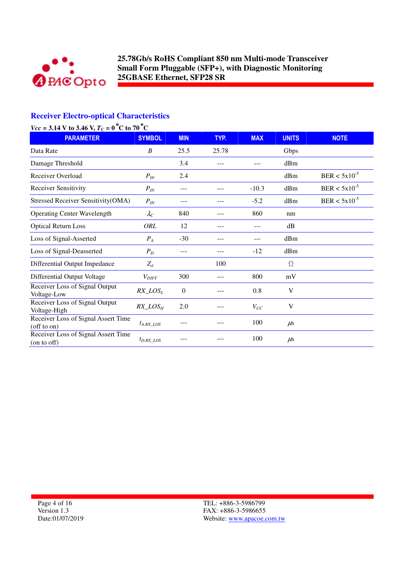

# **Receiver Electro-optical Characteristics**

|                                                                | $Vcc = 3.14$ V to 3.46 V, $T_C = 0$ °C to 70 °C |                |       |            |              |                   |  |  |
|----------------------------------------------------------------|-------------------------------------------------|----------------|-------|------------|--------------|-------------------|--|--|
| <b>PARAMETER</b>                                               | <b>SYMBOL</b>                                   | <b>MIN</b>     | TYP.  | <b>MAX</b> | <b>UNITS</b> | <b>NOTE</b>       |  |  |
| Data Rate                                                      | B                                               | 25.5           | 25.78 |            | Gbps         |                   |  |  |
| Damage Threshold                                               |                                                 | 3.4            |       | ---        | dBm          |                   |  |  |
| Receiver Overload                                              | $P_{IN}$                                        | 2.4            |       |            | dBm          | $BER < 5x10^{-5}$ |  |  |
| <b>Receiver Sensitivity</b>                                    | $P_{IN}$                                        | $---$          |       | $-10.3$    | dBm          | $BER < 5x10^{-5}$ |  |  |
| Stressed Receiver Sensitivity(OMA)                             | $P_{IN}$                                        | $---$          | ---   | $-5.2$     | dBm          | $BER < 5x10^{-5}$ |  |  |
| <b>Operating Center Wavelength</b>                             | $\lambda_C$                                     | 840            | ---   | 860        | nm           |                   |  |  |
| <b>Optical Return Loss</b>                                     | ORL                                             | 12             | ---   | ---        | dB           |                   |  |  |
| Loss of Signal-Asserted                                        | $P_A$                                           | $-30$          | $---$ | ---        | dBm          |                   |  |  |
| Loss of Signal-Deasserted                                      | $P_D$                                           | $---$          | ---   | $-12$      | dBm          |                   |  |  |
| Differential Output Impedance                                  | $Z_d$                                           |                | 100   |            | $\Omega$     |                   |  |  |
| Differential Output Voltage                                    | $V_{\text{DIFF}}$                               | 300            |       | 800        | mV           |                   |  |  |
| Receiver Loss of Signal Output<br>Voltage-Low                  | $RX\_LOS_L$                                     | $\overline{0}$ |       | 0.8        | V            |                   |  |  |
| Receiver Loss of Signal Output<br>Voltage-High                 | $RX\_LOS_H$                                     | 2.0            |       | $V_{CC}$   | V            |                   |  |  |
| Receiver Loss of Signal Assert Time<br>$($ off to $\text{on})$ | $t_{A,RX}$ LOS                                  |                |       | 100        | $\mu$ s      |                   |  |  |
| Receiver Loss of Signal Assert Time<br>(on to off)             | $t_{D,RX\_LOS}$                                 |                |       | 100        | $\mu$ s      |                   |  |  |

Page 4 of 16 Version 1.3 Date:01/07/2019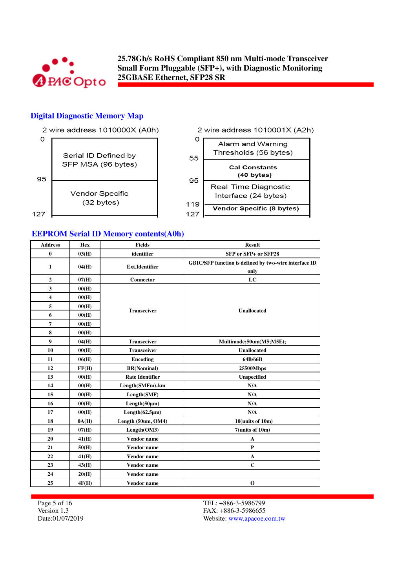

#### **Digital Diagnostic Memory Map**



**EEPROM Serial ID Memory contents(A0h)**

| <b>Address</b>   | <b>Hex</b> | <b>Fields</b>          | <b>Result</b>                                                 |
|------------------|------------|------------------------|---------------------------------------------------------------|
| $\bf{0}$         | 03(H)      | identifier             | SFP or SFP+ or SFP28                                          |
| $\mathbf{1}$     | 04(H)      | <b>Ext.Identifier</b>  | GBIC/SFP function is defined by two-wire interface ID<br>only |
| $\boldsymbol{2}$ | 07(H)      | Connector              | LC                                                            |
| 3                | 00(H)      |                        |                                                               |
| 4                | 00(H)      |                        |                                                               |
| 5                | 00(H)      | <b>Transceiver</b>     | <b>Unallocated</b>                                            |
| 6                | 00(H)      |                        |                                                               |
| 7                | 00(H)      |                        |                                                               |
| 8                | 00(H)      |                        |                                                               |
| 9                | 04(H)      | <b>Transceiver</b>     | Multimode;50um(M5;M5E);                                       |
| 10               | 00(H)      | <b>Transceiver</b>     | <b>Unallocated</b>                                            |
| 11               | 06(H)      | <b>Encoding</b>        | 64B/66B                                                       |
| 12               | FF(H)      | <b>BR(Nominal)</b>     | 25500Mbps                                                     |
| 13               | 00(H)      | <b>Rate Identifier</b> | Unspecified                                                   |
| 14               | 00(H)      | Length(SMFm)-km        | N/A                                                           |
| 15               | 00(H)      | Length(SMF)            | N/A                                                           |
| 16               | 00(H)      | Length(50µm)           | N/A                                                           |
| 17               | 00(H)      | Length $(62.5 \mu m)$  | N/A                                                           |
| 18               | 0A(H)      | Length (50um, OM4)     | 10(units of 10m)                                              |
| 19               | 07(H)      | Length(OM3)            | $7$ (units of 10m)                                            |
| 20               | 41(H)      | Vendor name            | A                                                             |
| 21               | 50(H)      | <b>Vendor</b> name     | P                                                             |
| 22               | 41(H)      | <b>Vendor</b> name     | $\mathbf A$                                                   |
| 23               | 43(H)      | Vendor name            | $\mathbf C$                                                   |
| 24               | 20(H)      | <b>Vendor</b> name     |                                                               |
| 25               | 4F(H)      | Vendor name            | $\mathbf 0$                                                   |

Page 5 of 16 Version 1.3 Date:01/07/2019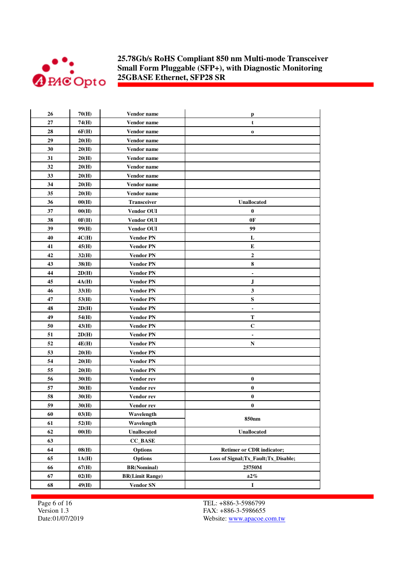

| 27<br>74(H)<br><b>Vendor name</b><br>t<br>28<br>6F(H)<br>Vendor name<br>$\mathbf 0$<br>29<br>20(H)<br>Vendor name<br>30<br>20(H)<br>Vendor name<br>31<br>20(H)<br>Vendor name<br>32<br>20(H)<br>Vendor name<br>33<br>20(H)<br>Vendor name<br>34<br>20(H)<br>Vendor name<br>35<br>20(H)<br><b>Vendor name</b><br>36<br>Transceiver<br>00(H)<br><b>Unallocated</b><br>37<br>$\bf{0}$<br>00(H)<br><b>Vendor OUI</b><br>38<br>0F(H)<br><b>Vendor OUI</b><br>0F<br>39<br>99<br>99(H)<br><b>Vendor OUI</b><br>40<br>L<br>4C(H)<br><b>Vendor PN</b><br>41<br>E<br>45(H)<br><b>Vendor PN</b><br>42<br>$\overline{2}$<br>32(H)<br><b>Vendor PN</b><br>8<br>43<br>38(H)<br><b>Vendor PN</b><br>44<br><b>Vendor PN</b><br>2D(H)<br>45<br><b>Vendor PN</b><br>J<br>4A(H)<br>3<br>46<br>33(H)<br><b>Vendor PN</b><br>47<br>${\bf S}$<br>53(H)<br><b>Vendor PN</b><br>48<br>2D(H)<br><b>Vendor PN</b><br>$\blacksquare$<br>49<br><b>Vendor PN</b><br>Т<br>54(H)<br>50<br>$\mathbf C$<br>43(H)<br><b>Vendor PN</b><br>51<br>2D(H)<br>Vendor PN<br>$\blacksquare$<br>52<br>4E(H)<br><b>Vendor PN</b><br>N<br>53<br>20(H)<br><b>Vendor PN</b><br>54<br>20(H)<br><b>Vendor PN</b><br>55<br>20(H)<br><b>Vendor PN</b><br>56<br>$\bf{0}$<br>30(H)<br>Vendor rev<br>57<br>30(H)<br>$\bf{0}$<br>Vendor rev<br>$\bf{0}$<br>58<br>30(H)<br>Vendor rev<br>59<br>$\bf{0}$<br>30(H)<br>Vendor rev<br>60<br>03(H)<br>Wavelength<br>850 <sub>nm</sub><br>52(H)<br>Wavelength<br>61<br>62<br>Unallocated<br>00(H)<br>Unallocated<br>63<br><b>CC_BASE</b><br>64<br>08(H)<br><b>Options</b><br><b>Retimer or CDR indicator;</b><br>65<br><b>Options</b><br>Loss of Signal; Tx Fault; Tx Disable;<br>1A(H)<br>66<br>67(H)<br><b>BR(Nominal)</b><br>25750M<br>67<br>02(H)<br>$\pm 2\%$<br><b>BR(Limit Range)</b><br>68<br>$\mathbf I$<br>49(H)<br><b>Vendor SN</b> | 26 | 70(H) | Vendor name | p |
|----------------------------------------------------------------------------------------------------------------------------------------------------------------------------------------------------------------------------------------------------------------------------------------------------------------------------------------------------------------------------------------------------------------------------------------------------------------------------------------------------------------------------------------------------------------------------------------------------------------------------------------------------------------------------------------------------------------------------------------------------------------------------------------------------------------------------------------------------------------------------------------------------------------------------------------------------------------------------------------------------------------------------------------------------------------------------------------------------------------------------------------------------------------------------------------------------------------------------------------------------------------------------------------------------------------------------------------------------------------------------------------------------------------------------------------------------------------------------------------------------------------------------------------------------------------------------------------------------------------------------------------------------------------------------------------------------------------------------------------------------------------------------------------------------------------------------------|----|-------|-------------|---|
|                                                                                                                                                                                                                                                                                                                                                                                                                                                                                                                                                                                                                                                                                                                                                                                                                                                                                                                                                                                                                                                                                                                                                                                                                                                                                                                                                                                                                                                                                                                                                                                                                                                                                                                                                                                                                                  |    |       |             |   |
|                                                                                                                                                                                                                                                                                                                                                                                                                                                                                                                                                                                                                                                                                                                                                                                                                                                                                                                                                                                                                                                                                                                                                                                                                                                                                                                                                                                                                                                                                                                                                                                                                                                                                                                                                                                                                                  |    |       |             |   |
|                                                                                                                                                                                                                                                                                                                                                                                                                                                                                                                                                                                                                                                                                                                                                                                                                                                                                                                                                                                                                                                                                                                                                                                                                                                                                                                                                                                                                                                                                                                                                                                                                                                                                                                                                                                                                                  |    |       |             |   |
|                                                                                                                                                                                                                                                                                                                                                                                                                                                                                                                                                                                                                                                                                                                                                                                                                                                                                                                                                                                                                                                                                                                                                                                                                                                                                                                                                                                                                                                                                                                                                                                                                                                                                                                                                                                                                                  |    |       |             |   |
|                                                                                                                                                                                                                                                                                                                                                                                                                                                                                                                                                                                                                                                                                                                                                                                                                                                                                                                                                                                                                                                                                                                                                                                                                                                                                                                                                                                                                                                                                                                                                                                                                                                                                                                                                                                                                                  |    |       |             |   |
|                                                                                                                                                                                                                                                                                                                                                                                                                                                                                                                                                                                                                                                                                                                                                                                                                                                                                                                                                                                                                                                                                                                                                                                                                                                                                                                                                                                                                                                                                                                                                                                                                                                                                                                                                                                                                                  |    |       |             |   |
|                                                                                                                                                                                                                                                                                                                                                                                                                                                                                                                                                                                                                                                                                                                                                                                                                                                                                                                                                                                                                                                                                                                                                                                                                                                                                                                                                                                                                                                                                                                                                                                                                                                                                                                                                                                                                                  |    |       |             |   |
|                                                                                                                                                                                                                                                                                                                                                                                                                                                                                                                                                                                                                                                                                                                                                                                                                                                                                                                                                                                                                                                                                                                                                                                                                                                                                                                                                                                                                                                                                                                                                                                                                                                                                                                                                                                                                                  |    |       |             |   |
|                                                                                                                                                                                                                                                                                                                                                                                                                                                                                                                                                                                                                                                                                                                                                                                                                                                                                                                                                                                                                                                                                                                                                                                                                                                                                                                                                                                                                                                                                                                                                                                                                                                                                                                                                                                                                                  |    |       |             |   |
|                                                                                                                                                                                                                                                                                                                                                                                                                                                                                                                                                                                                                                                                                                                                                                                                                                                                                                                                                                                                                                                                                                                                                                                                                                                                                                                                                                                                                                                                                                                                                                                                                                                                                                                                                                                                                                  |    |       |             |   |
|                                                                                                                                                                                                                                                                                                                                                                                                                                                                                                                                                                                                                                                                                                                                                                                                                                                                                                                                                                                                                                                                                                                                                                                                                                                                                                                                                                                                                                                                                                                                                                                                                                                                                                                                                                                                                                  |    |       |             |   |
|                                                                                                                                                                                                                                                                                                                                                                                                                                                                                                                                                                                                                                                                                                                                                                                                                                                                                                                                                                                                                                                                                                                                                                                                                                                                                                                                                                                                                                                                                                                                                                                                                                                                                                                                                                                                                                  |    |       |             |   |
|                                                                                                                                                                                                                                                                                                                                                                                                                                                                                                                                                                                                                                                                                                                                                                                                                                                                                                                                                                                                                                                                                                                                                                                                                                                                                                                                                                                                                                                                                                                                                                                                                                                                                                                                                                                                                                  |    |       |             |   |
|                                                                                                                                                                                                                                                                                                                                                                                                                                                                                                                                                                                                                                                                                                                                                                                                                                                                                                                                                                                                                                                                                                                                                                                                                                                                                                                                                                                                                                                                                                                                                                                                                                                                                                                                                                                                                                  |    |       |             |   |
|                                                                                                                                                                                                                                                                                                                                                                                                                                                                                                                                                                                                                                                                                                                                                                                                                                                                                                                                                                                                                                                                                                                                                                                                                                                                                                                                                                                                                                                                                                                                                                                                                                                                                                                                                                                                                                  |    |       |             |   |
|                                                                                                                                                                                                                                                                                                                                                                                                                                                                                                                                                                                                                                                                                                                                                                                                                                                                                                                                                                                                                                                                                                                                                                                                                                                                                                                                                                                                                                                                                                                                                                                                                                                                                                                                                                                                                                  |    |       |             |   |
|                                                                                                                                                                                                                                                                                                                                                                                                                                                                                                                                                                                                                                                                                                                                                                                                                                                                                                                                                                                                                                                                                                                                                                                                                                                                                                                                                                                                                                                                                                                                                                                                                                                                                                                                                                                                                                  |    |       |             |   |
|                                                                                                                                                                                                                                                                                                                                                                                                                                                                                                                                                                                                                                                                                                                                                                                                                                                                                                                                                                                                                                                                                                                                                                                                                                                                                                                                                                                                                                                                                                                                                                                                                                                                                                                                                                                                                                  |    |       |             |   |
|                                                                                                                                                                                                                                                                                                                                                                                                                                                                                                                                                                                                                                                                                                                                                                                                                                                                                                                                                                                                                                                                                                                                                                                                                                                                                                                                                                                                                                                                                                                                                                                                                                                                                                                                                                                                                                  |    |       |             |   |
|                                                                                                                                                                                                                                                                                                                                                                                                                                                                                                                                                                                                                                                                                                                                                                                                                                                                                                                                                                                                                                                                                                                                                                                                                                                                                                                                                                                                                                                                                                                                                                                                                                                                                                                                                                                                                                  |    |       |             |   |
|                                                                                                                                                                                                                                                                                                                                                                                                                                                                                                                                                                                                                                                                                                                                                                                                                                                                                                                                                                                                                                                                                                                                                                                                                                                                                                                                                                                                                                                                                                                                                                                                                                                                                                                                                                                                                                  |    |       |             |   |
|                                                                                                                                                                                                                                                                                                                                                                                                                                                                                                                                                                                                                                                                                                                                                                                                                                                                                                                                                                                                                                                                                                                                                                                                                                                                                                                                                                                                                                                                                                                                                                                                                                                                                                                                                                                                                                  |    |       |             |   |
|                                                                                                                                                                                                                                                                                                                                                                                                                                                                                                                                                                                                                                                                                                                                                                                                                                                                                                                                                                                                                                                                                                                                                                                                                                                                                                                                                                                                                                                                                                                                                                                                                                                                                                                                                                                                                                  |    |       |             |   |
|                                                                                                                                                                                                                                                                                                                                                                                                                                                                                                                                                                                                                                                                                                                                                                                                                                                                                                                                                                                                                                                                                                                                                                                                                                                                                                                                                                                                                                                                                                                                                                                                                                                                                                                                                                                                                                  |    |       |             |   |
|                                                                                                                                                                                                                                                                                                                                                                                                                                                                                                                                                                                                                                                                                                                                                                                                                                                                                                                                                                                                                                                                                                                                                                                                                                                                                                                                                                                                                                                                                                                                                                                                                                                                                                                                                                                                                                  |    |       |             |   |
|                                                                                                                                                                                                                                                                                                                                                                                                                                                                                                                                                                                                                                                                                                                                                                                                                                                                                                                                                                                                                                                                                                                                                                                                                                                                                                                                                                                                                                                                                                                                                                                                                                                                                                                                                                                                                                  |    |       |             |   |
|                                                                                                                                                                                                                                                                                                                                                                                                                                                                                                                                                                                                                                                                                                                                                                                                                                                                                                                                                                                                                                                                                                                                                                                                                                                                                                                                                                                                                                                                                                                                                                                                                                                                                                                                                                                                                                  |    |       |             |   |
|                                                                                                                                                                                                                                                                                                                                                                                                                                                                                                                                                                                                                                                                                                                                                                                                                                                                                                                                                                                                                                                                                                                                                                                                                                                                                                                                                                                                                                                                                                                                                                                                                                                                                                                                                                                                                                  |    |       |             |   |
|                                                                                                                                                                                                                                                                                                                                                                                                                                                                                                                                                                                                                                                                                                                                                                                                                                                                                                                                                                                                                                                                                                                                                                                                                                                                                                                                                                                                                                                                                                                                                                                                                                                                                                                                                                                                                                  |    |       |             |   |
|                                                                                                                                                                                                                                                                                                                                                                                                                                                                                                                                                                                                                                                                                                                                                                                                                                                                                                                                                                                                                                                                                                                                                                                                                                                                                                                                                                                                                                                                                                                                                                                                                                                                                                                                                                                                                                  |    |       |             |   |
|                                                                                                                                                                                                                                                                                                                                                                                                                                                                                                                                                                                                                                                                                                                                                                                                                                                                                                                                                                                                                                                                                                                                                                                                                                                                                                                                                                                                                                                                                                                                                                                                                                                                                                                                                                                                                                  |    |       |             |   |
|                                                                                                                                                                                                                                                                                                                                                                                                                                                                                                                                                                                                                                                                                                                                                                                                                                                                                                                                                                                                                                                                                                                                                                                                                                                                                                                                                                                                                                                                                                                                                                                                                                                                                                                                                                                                                                  |    |       |             |   |
|                                                                                                                                                                                                                                                                                                                                                                                                                                                                                                                                                                                                                                                                                                                                                                                                                                                                                                                                                                                                                                                                                                                                                                                                                                                                                                                                                                                                                                                                                                                                                                                                                                                                                                                                                                                                                                  |    |       |             |   |
|                                                                                                                                                                                                                                                                                                                                                                                                                                                                                                                                                                                                                                                                                                                                                                                                                                                                                                                                                                                                                                                                                                                                                                                                                                                                                                                                                                                                                                                                                                                                                                                                                                                                                                                                                                                                                                  |    |       |             |   |
|                                                                                                                                                                                                                                                                                                                                                                                                                                                                                                                                                                                                                                                                                                                                                                                                                                                                                                                                                                                                                                                                                                                                                                                                                                                                                                                                                                                                                                                                                                                                                                                                                                                                                                                                                                                                                                  |    |       |             |   |
|                                                                                                                                                                                                                                                                                                                                                                                                                                                                                                                                                                                                                                                                                                                                                                                                                                                                                                                                                                                                                                                                                                                                                                                                                                                                                                                                                                                                                                                                                                                                                                                                                                                                                                                                                                                                                                  |    |       |             |   |
|                                                                                                                                                                                                                                                                                                                                                                                                                                                                                                                                                                                                                                                                                                                                                                                                                                                                                                                                                                                                                                                                                                                                                                                                                                                                                                                                                                                                                                                                                                                                                                                                                                                                                                                                                                                                                                  |    |       |             |   |
|                                                                                                                                                                                                                                                                                                                                                                                                                                                                                                                                                                                                                                                                                                                                                                                                                                                                                                                                                                                                                                                                                                                                                                                                                                                                                                                                                                                                                                                                                                                                                                                                                                                                                                                                                                                                                                  |    |       |             |   |
|                                                                                                                                                                                                                                                                                                                                                                                                                                                                                                                                                                                                                                                                                                                                                                                                                                                                                                                                                                                                                                                                                                                                                                                                                                                                                                                                                                                                                                                                                                                                                                                                                                                                                                                                                                                                                                  |    |       |             |   |
|                                                                                                                                                                                                                                                                                                                                                                                                                                                                                                                                                                                                                                                                                                                                                                                                                                                                                                                                                                                                                                                                                                                                                                                                                                                                                                                                                                                                                                                                                                                                                                                                                                                                                                                                                                                                                                  |    |       |             |   |
|                                                                                                                                                                                                                                                                                                                                                                                                                                                                                                                                                                                                                                                                                                                                                                                                                                                                                                                                                                                                                                                                                                                                                                                                                                                                                                                                                                                                                                                                                                                                                                                                                                                                                                                                                                                                                                  |    |       |             |   |
|                                                                                                                                                                                                                                                                                                                                                                                                                                                                                                                                                                                                                                                                                                                                                                                                                                                                                                                                                                                                                                                                                                                                                                                                                                                                                                                                                                                                                                                                                                                                                                                                                                                                                                                                                                                                                                  |    |       |             |   |

Page 6 of 16 Version 1.3 Date:01/07/2019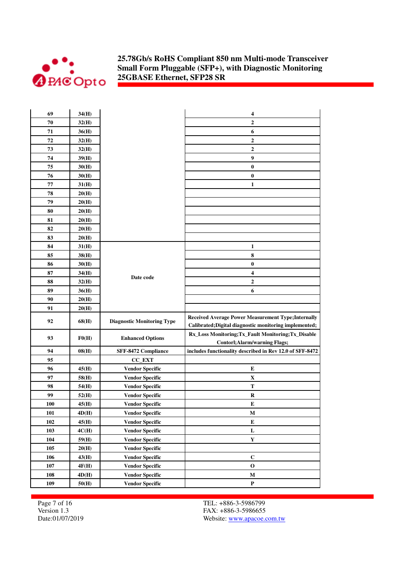

| 69  | 34(H) |                                   | 4                                                                                                                    |
|-----|-------|-----------------------------------|----------------------------------------------------------------------------------------------------------------------|
| 70  | 32(H) |                                   | $\overline{2}$                                                                                                       |
| 71  | 36(H) |                                   | 6                                                                                                                    |
| 72  | 32(H) |                                   | $\mathbf{2}$                                                                                                         |
| 73  | 32(H) |                                   | $\mathbf{2}$                                                                                                         |
| 74  | 39(H) |                                   | $\boldsymbol{9}$                                                                                                     |
| 75  | 30(H) |                                   | $\bf{0}$                                                                                                             |
| 76  | 30(H) |                                   | $\bf{0}$                                                                                                             |
| 77  | 31(H) |                                   | 1                                                                                                                    |
| 78  | 20(H) |                                   |                                                                                                                      |
| 79  | 20(H) |                                   |                                                                                                                      |
| 80  | 20(H) |                                   |                                                                                                                      |
| 81  | 20(H) |                                   |                                                                                                                      |
| 82  | 20(H) |                                   |                                                                                                                      |
| 83  | 20(H) |                                   |                                                                                                                      |
| 84  | 31(H) |                                   | 1                                                                                                                    |
| 85  | 38(H) |                                   | 8                                                                                                                    |
| 86  | 30(H) |                                   | $\bf{0}$                                                                                                             |
| 87  | 34(H) |                                   | 4                                                                                                                    |
| 88  | 32(H) | Date code                         | $\mathbf{2}$                                                                                                         |
| 89  | 36(H) |                                   | 6                                                                                                                    |
| 90  | 20(H) |                                   |                                                                                                                      |
| 91  | 20(H) |                                   |                                                                                                                      |
| 92  | 68(H) | <b>Diagnostic Monitoring Type</b> | <b>Received Average Power Measurement Type; Internally</b><br>Calibrated; Digital diagnostic monitoring implemented; |
| 93  | F0(H) | <b>Enhanced Options</b>           | Rx_Loss Monitoring;Tx_Fault Monitoring;Tx_Disable<br><b>Contorl; Alarm/warning Flags;</b>                            |
| 94  | 08(H) | SFF-8472 Compliance               | includes functionality described in Rev 12.0 of SFF-8472                                                             |
| 95  |       | CC_EXT                            |                                                                                                                      |
| 96  | 45(H) | <b>Vendor Specific</b>            | E                                                                                                                    |
| 97  | 58(H) | <b>Vendor Specific</b>            | X                                                                                                                    |
| 98  | 54(H) | <b>Vendor Specific</b>            | T                                                                                                                    |
| 99  | 52(H) | <b>Vendor Specific</b>            | R                                                                                                                    |
| 100 | 45(H) | <b>Vendor Specific</b>            | E                                                                                                                    |
| 101 | 4D(H) | <b>Vendor Specific</b>            | М                                                                                                                    |
| 102 | 45(H) | <b>Vendor Specific</b>            | E                                                                                                                    |
| 103 | 4C(H) | <b>Vendor Specific</b>            | L                                                                                                                    |
| 104 | 59(H) | <b>Vendor Specific</b>            | $\mathbf Y$                                                                                                          |
| 105 | 20(H) | <b>Vendor Specific</b>            |                                                                                                                      |
| 106 | 43(H) | <b>Vendor Specific</b>            | $\mathbf C$                                                                                                          |
| 107 | 4F(H) | <b>Vendor Specific</b>            | $\mathbf 0$                                                                                                          |
| 108 | 4D(H) | <b>Vendor Specific</b>            | $\mathbf M$                                                                                                          |
| 109 | 50(H) | <b>Vendor Specific</b>            | $\mathbf P$                                                                                                          |

Page 7 of 16 Version 1.3 Date:01/07/2019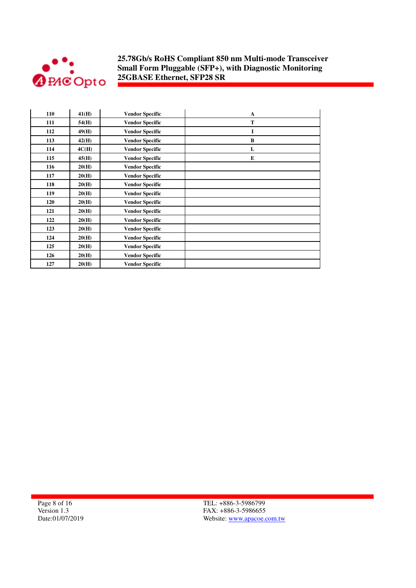

| 110 | 41(H) | <b>Vendor Specific</b> | $\mathbf{A}$ |
|-----|-------|------------------------|--------------|
| 111 | 54(H) | <b>Vendor Specific</b> | T            |
| 112 | 49(H) | <b>Vendor Specific</b> | I            |
| 113 | 42(H) | <b>Vendor Specific</b> | B            |
| 114 | 4C(H) | <b>Vendor Specific</b> | L            |
| 115 | 45(H) | <b>Vendor Specific</b> | E            |
| 116 | 20(H) | <b>Vendor Specific</b> |              |
| 117 | 20(H) | <b>Vendor Specific</b> |              |
| 118 | 20(H) | <b>Vendor Specific</b> |              |
| 119 | 20(H) | <b>Vendor Specific</b> |              |
| 120 | 20(H) | <b>Vendor Specific</b> |              |
| 121 | 20(H) | <b>Vendor Specific</b> |              |
| 122 | 20(H) | <b>Vendor Specific</b> |              |
| 123 | 20(H) | <b>Vendor Specific</b> |              |
| 124 | 20(H) | <b>Vendor Specific</b> |              |
| 125 | 20(H) | <b>Vendor Specific</b> |              |
| 126 | 20(H) | <b>Vendor Specific</b> |              |
| 127 | 20(H) | <b>Vendor Specific</b> |              |

Page 8 of 16 Version 1.3 Date:01/07/2019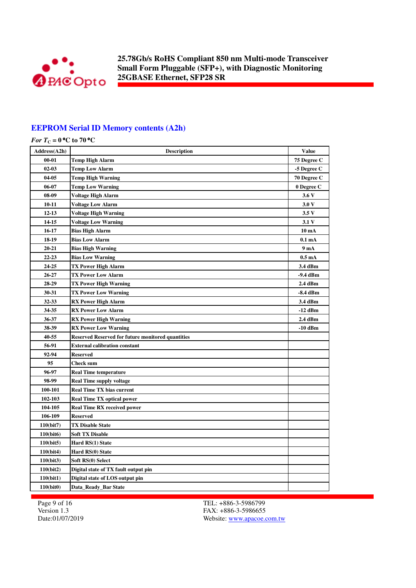

### **EEPROM Serial ID Memory contents (A2h)**

| Address(A2h) | <b>Description</b>                                       | <b>Value</b>     |
|--------------|----------------------------------------------------------|------------------|
| $00 - 01$    | Temp High Alarm                                          | 75 Degree C      |
| $02 - 03$    | <b>Temp Low Alarm</b>                                    | -5 Degree C      |
| 04-05        | Temp High Warning                                        | 70 Degree C      |
| 06-07        | <b>Temp Low Warning</b>                                  | 0 Degree C       |
| 08-09        | Voltage High Alarm                                       | 3.6V             |
| 10-11        | <b>Voltage Low Alarm</b>                                 | 3.0V             |
| $12 - 13$    | <b>Voltage High Warning</b>                              | 3.5V             |
| 14-15        | <b>Voltage Low Warning</b>                               | 3.1V             |
| 16-17        | <b>Bias High Alarm</b>                                   | 10 mA            |
| 18-19        | <b>Bias Low Alarm</b>                                    | 0.1 <sub>m</sub> |
| 20-21        | <b>Bias High Warning</b>                                 | 9 mA             |
| 22-23        | <b>Bias Low Warning</b>                                  | 0.5 <sub>m</sub> |
| 24-25        | <b>TX Power High Alarm</b>                               | 3.4 dBm          |
| 26-27        | <b>TX Power Low Alarm</b>                                | -9.4 dBm         |
| 28-29        | TX Power High Warning                                    | 2.4 dBm          |
| 30-31        | <b>TX Power Low Warning</b>                              | -8.4 dBm         |
| 32-33        | <b>RX Power High Alarm</b>                               | 3.4 dBm          |
| 34-35        | <b>RX Power Low Alarm</b>                                | -12 dBm          |
| 36-37        | <b>RX Power High Warning</b>                             | 2.4 dBm          |
| 38-39        | <b>RX Power Low Warning</b>                              | -10 dBm          |
| 40-55        | <b>Reserved Reserved for future monitored quantities</b> |                  |
| 56-91        | <b>External calibration constant</b>                     |                  |
| 92-94        | <b>Reserved</b>                                          |                  |
| 95           | Check sum                                                |                  |
| 96-97        | <b>Real Time temperature</b>                             |                  |
| 98-99        | <b>Real Time supply voltage</b>                          |                  |
| 100-101      | <b>Real Time TX bias current</b>                         |                  |
| 102-103      | <b>Real Time TX optical power</b>                        |                  |
| 104-105      | <b>Real Time RX received power</b>                       |                  |
| 106-109      | <b>Reserved</b>                                          |                  |
| 110(bit7)    | <b>TX Disable State</b>                                  |                  |
| 110(bit6)    | <b>Soft TX Disable</b>                                   |                  |
| 110(bit5)    | Hard RS(1) State                                         |                  |
| 110(bit4)    | Hard RS(0) State                                         |                  |
| 110(bit3)    | Soft RS(0) Select                                        |                  |
| 110(bit2)    | Digital state of TX fault output pin                     |                  |
| 110(bit1)    | Digital state of LOS output pin                          |                  |
| 110(bit0)    | Data_Ready_Bar State                                     |                  |

Page 9 of 16 Version 1.3 Date:01/07/2019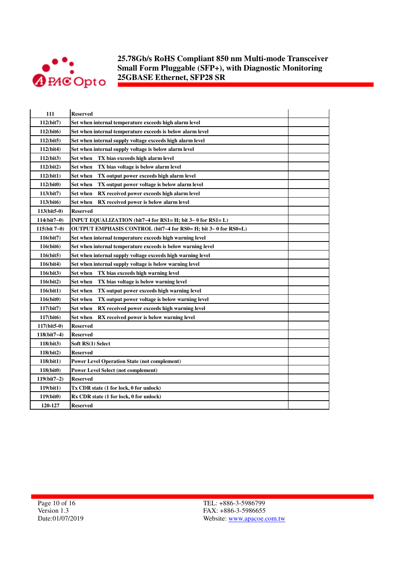

| 111            | <b>Reserved</b>                                                 |  |
|----------------|-----------------------------------------------------------------|--|
| 112(bit7)      | Set when internal temperature exceeds high alarm level          |  |
| 112(bit6)      | Set when internal temperature exceeds is below alarm level      |  |
| 112(bit5)      | Set when internal supply voltage exceeds high alarm level       |  |
| 112(bit4)      | Set when internal supply voltage is below alarm level           |  |
| 112(bit3)      | Set when<br>TX bias exceeds high alarm level                    |  |
| 112(bit2)      | <b>Set when</b><br>TX bias voltage is below alarm level         |  |
| 112(bit1)      | <b>Set when</b><br>TX output power exceeds high alarm level     |  |
| 112(bit0)      | TX output power voltage is below alarm level<br>Set when        |  |
| 113(bit7)      | Set when<br>RX received power exceeds high alarm level          |  |
| 113(bit6)      | Set when<br>RX received power is below alarm level              |  |
| $113(bit5-0)$  | <b>Reserved</b>                                                 |  |
| $114(bit7-0)$  | INPUT EQUALIZATION (bit7~4 for RS1= H; bit 3~ 0 for RS1= L)     |  |
| $115(bit 7-0)$ | OUTPUT EMPHASIS CONTROL (bit7~4 for RS0= H; bit 3~ 0 for RS0=L) |  |
| 116(bit7)      | Set when internal temperature exceeds high warning level        |  |
| 116(bit6)      | Set when internal temperature exceeds is below warning level    |  |
| 116(bit5)      | Set when internal supply voltage exceeds high warning level     |  |
| 116(bit4)      | Set when internal supply voltage is below warning level         |  |
| 116(bit3)      | TX bias exceeds high warning level<br>Set when                  |  |
| 116(bit2)      | Set when<br>TX bias voltage is below warning level              |  |
| 116(bit1)      | Set when<br>TX output power exceeds high warning level          |  |
| 116(bit0)      | Set when<br>TX output power voltage is below warning level      |  |
| 117(bit7)      | <b>Set when</b><br>RX received power exceeds high warning level |  |
| 117(bit6)      | Set when<br>RX received power is below warning level            |  |
| 117(bit5-0)    | <b>Reserved</b>                                                 |  |
| $118(bit7-4)$  | Reserved                                                        |  |
| 118(bit3)      | Soft RS(1) Select                                               |  |
| 118(bit2)      | <b>Reserved</b>                                                 |  |
| 118(bit1)      | <b>Power Level Operation State (not complement)</b>             |  |
| 118(bit0)      | <b>Power Level Select (not complement)</b>                      |  |
| $119(bit7-2)$  | <b>Reserved</b>                                                 |  |
| 119(bit1)      | Tx CDR state (1 for lock, 0 for unlock)                         |  |
| 119(bit0)      | Rx CDR state (1 for lock, 0 for unlock)                         |  |
| 120-127        | <b>Reserved</b>                                                 |  |
|                |                                                                 |  |

Page 10 of 16 Version 1.3 Date:01/07/2019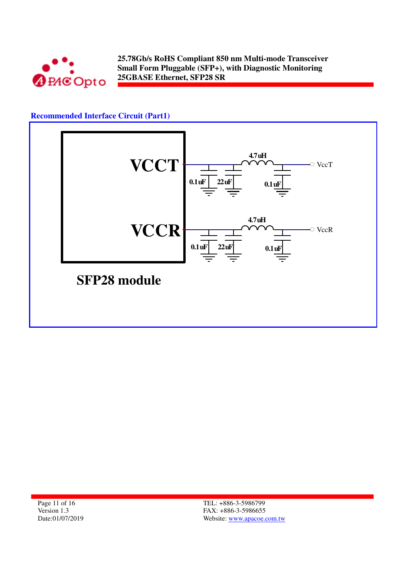

## **Recommended Interface Circuit (Part1)**



Page 11 of 16 Version 1.3 Date:01/07/2019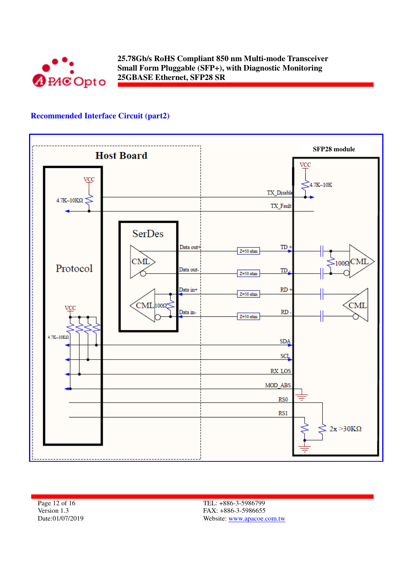

## **Recommended Interface Circuit (part2)**



Page 12 of 16 Version 1.3 Date:01/07/2019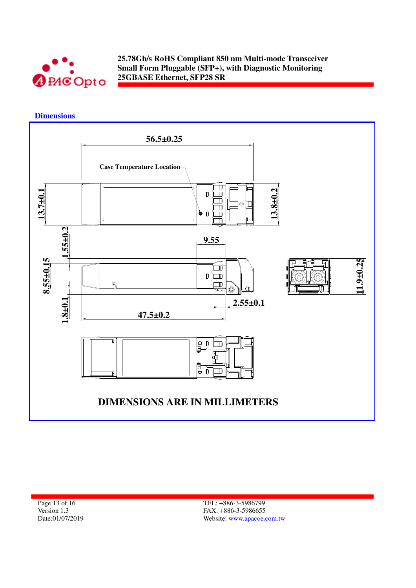

 **Dimensions** 



Page 13 of 16 Version 1.3 Date:01/07/2019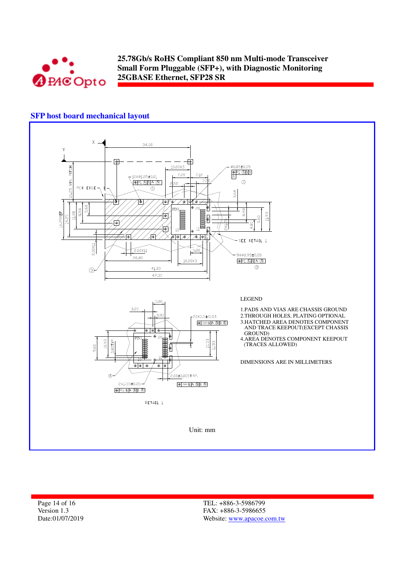

## **SFP host board mechanical layout**



Page 14 of 16 Version 1.3 Date:01/07/2019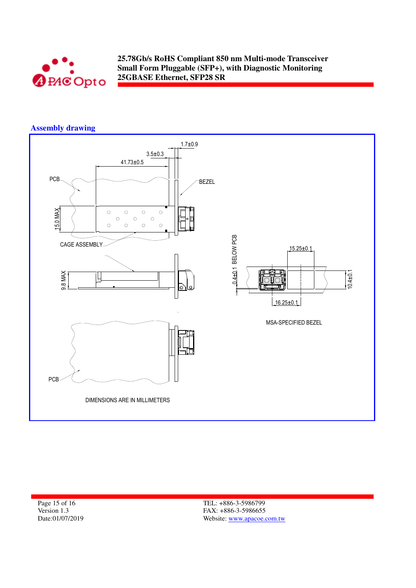

## **Assembly drawing**



Page 15 of 16 Version 1.3 Date:01/07/2019